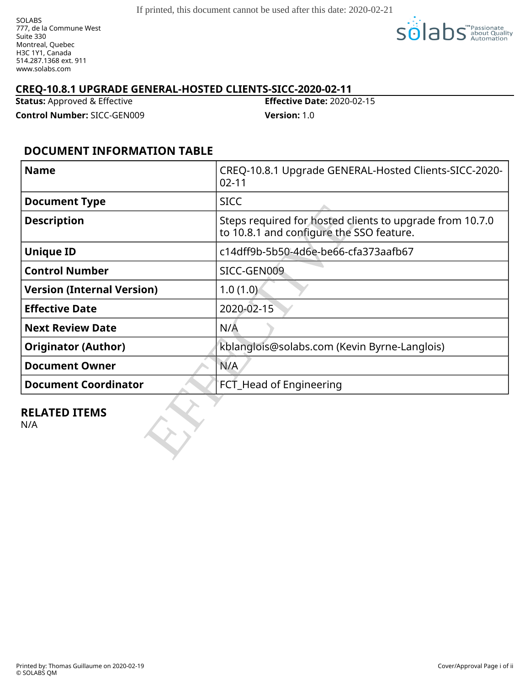SOLABS 777, de la Commune West Suite 330 Montreal, Quebec H3C 1Y1, Canada 514.287.1368 ext. 911 www.solabs.com



### **CREQ-10.8.1 UPGRADE GENERAL-HOSTED CLIENTS-SICC-2020-02-11**

**Status:** Approved & Effective **Effective Date:** 2020-02-15

**Control Number:** SICC-GEN009 **Version:** 1.0

## **DOCUMENT INFORMATION TABLE**

| <b>Name</b>                       | CREQ-10.8.1 Upgrade GENERAL-Hosted Clients-SICC-2020-<br>$02 - 11$                                   |  |
|-----------------------------------|------------------------------------------------------------------------------------------------------|--|
| <b>Document Type</b>              | <b>SICC</b>                                                                                          |  |
| <b>Description</b>                | Steps required for hosted clients to upgrade from 10.7.0<br>to 10.8.1 and configure the SSO feature. |  |
| <b>Unique ID</b>                  | c14dff9b-5b50-4d6e-be66-cfa373aafb67                                                                 |  |
| <b>Control Number</b>             | SICC-GEN009                                                                                          |  |
| <b>Version (Internal Version)</b> | 1.0(1.0)                                                                                             |  |
| <b>Effective Date</b>             | 2020-02-15                                                                                           |  |
| <b>Next Review Date</b>           | N/A                                                                                                  |  |
| <b>Originator (Author)</b>        | kblanglois@solabs.com (Kevin Byrne-Langlois)                                                         |  |
| <b>Document Owner</b>             | N/A                                                                                                  |  |
| <b>Document Coordinator</b>       | FCT_Head of Engineering                                                                              |  |
| <b>RELATED ITEMS</b><br>N/A       |                                                                                                      |  |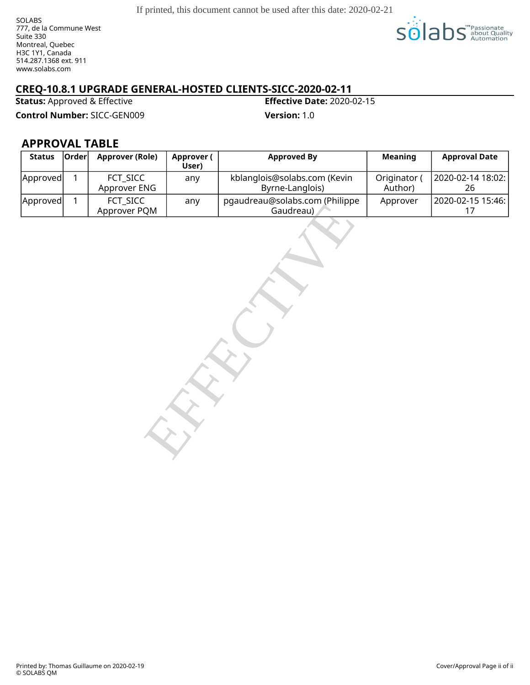SOLABS 777, de la Commune West Suite 330 Montreal, Quebec H3C 1Y1, Canada 514.287.1368 ext. 911 www.solabs.com



## **CREQ-10.8.1 UPGRADE GENERAL-HOSTED CLIENTS-SICC-2020-02-11**

**Status:** Approved & Effective **Effective Date:** 2020-02-15

**Control Number:** SICC-GEN009 **Version:** 1.0

### **APPROVAL TABLE**

| <b>Status</b> | Order        | <b>Approver (Role)</b>   | <b>Approver (</b><br>User) | <b>Approved By</b>                              | <b>Meaning</b>          | <b>Approval Date</b>    |  |  |
|---------------|--------------|--------------------------|----------------------------|-------------------------------------------------|-------------------------|-------------------------|--|--|
| Approved      | $\mathbf{1}$ | FCT_SICC<br>Approver ENG | any                        | kblanglois@solabs.com (Kevin<br>Byrne-Langlois) | Originator (<br>Author) | 2020-02-14 18:02:<br>26 |  |  |
| Approved      | $\mathbf{1}$ | FCT_SICC<br>Approver PQM | any                        | pgaudreau@solabs.com (Philippe<br>Gaudreau)     | Approver                | 2020-02-15 15:46:<br>17 |  |  |
|               |              |                          |                            |                                                 |                         |                         |  |  |

Printed by: Thomas Guillaume on 2020-02-19 © SOLABS QM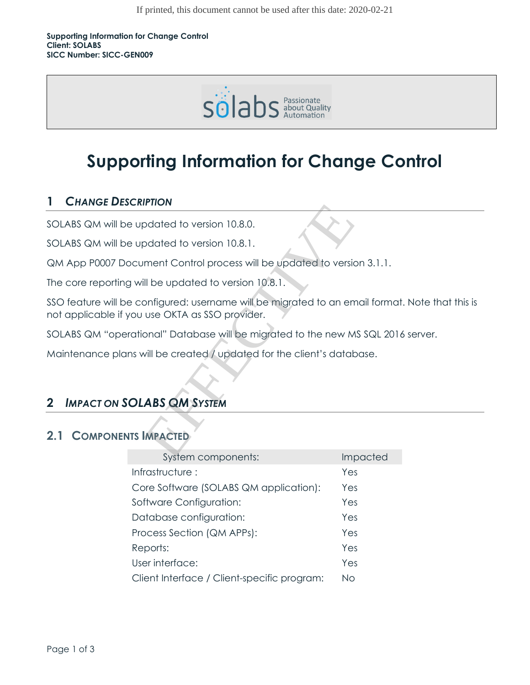

# **Supporting Information for Change Control**

## **1** *CHANGE DESCRIPTION*

SOLABS QM will be updated to version 10.8.0.

SOLABS QM will be updated to version 10.8.1.

QM App P0007 Document Control process will be updated to version 3.1.1.

The core reporting will be updated to version 10.8.1.

SSO feature will be configured: username will be migrated to an email format. Note that this is not applicable if you use OKTA as SSO provider. FINON<br>
Datated to version 10.8.0.<br>
Datated to version 10.8.1.<br>
Ill be updated to version 10.8.1.<br>
Diffgured: username will be migrated to an em<br>
use OKTA as SSO provider.<br>
Diffgured: Username will be migrated to an em<br>
use

SOLABS QM "operational" Database will be migrated to the new MS SQL 2016 server.

Maintenance plans will be created / updated for the client's database.

## **2** *IMPACT ON SOLABS QM SYSTEM*

## **2.1 COMPONENTS IMPACTED**

| System components:                          | <b>Impacted</b> |
|---------------------------------------------|-----------------|
| Infrastructure:                             | Yes             |
| Core Software (SOLABS QM application):      | Yes             |
| Software Configuration:                     | Yes             |
| Database configuration:                     | Yes             |
| Process Section (QM APPs):                  | Yes             |
| Reports:                                    | Yes             |
| User interface:                             | Yes             |
| Client Interface / Client-specific program: | NΩ              |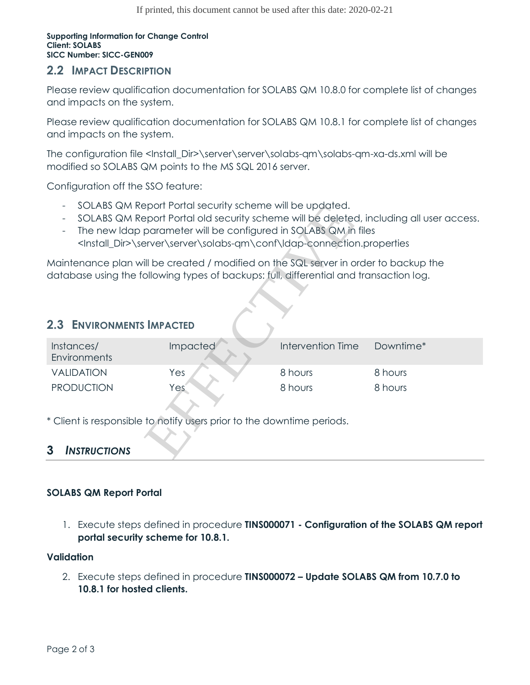#### **Supporting Information for Change Control Client: SOLABS SICC Number: SICC-GEN009**

#### **2.2 IMPACT DESCRIPTION**

Please review qualification documentation for SOLABS QM 10.8.0 for complete list of changes and impacts on the system.

Please review qualification documentation for SOLABS QM 10.8.1 for complete list of changes and impacts on the system.

The configuration file <Install\_Dir>\server\server\solabs-qm\solabs-qm-xa-ds.xml will be modified so SOLABS QM points to the MS SQL 2016 server.

Configuration off the SSO feature:

- SOLABS QM Report Portal security scheme will be updated.
- SOLABS QM Report Portal old security scheme will be deleted, including all user access.
- The new Idap parameter will be configured in SOLABS QM in files <Install\_Dir>\server\server\solabs-qm\conf\ldap-connection.properties

### **2.3 ENVIRONMENTS IMPACTED**

| SOLABS QM Report Portal security scheme will be updated.<br>SOLABS QM Report Portal old security scheme will be deleted, including all user access.<br>The new Idap parameter will be configured in SOLABS QM in files<br><install_dir>\server\server\solabs-qm\conf\ldap-connection.properties</install_dir> |                 |                   |           |  |  |  |  |  |
|---------------------------------------------------------------------------------------------------------------------------------------------------------------------------------------------------------------------------------------------------------------------------------------------------------------|-----------------|-------------------|-----------|--|--|--|--|--|
| Maintenance plan will be created / modified on the SQL server in order to backup the<br>database using the following types of backups: full, differential and transaction log.                                                                                                                                |                 |                   |           |  |  |  |  |  |
| <b>2.3 ENVIRONMENTS IMPACTED</b>                                                                                                                                                                                                                                                                              |                 |                   |           |  |  |  |  |  |
| Instances/<br>Environments                                                                                                                                                                                                                                                                                    | <b>Impacted</b> | Intervention Time | Downtime* |  |  |  |  |  |
| <b>VALIDATION</b>                                                                                                                                                                                                                                                                                             | Yes             | 8 hours           | 8 hours   |  |  |  |  |  |
| <b>PRODUCTION</b>                                                                                                                                                                                                                                                                                             | Yes             | 8 hours           | 8 hours   |  |  |  |  |  |
| * Client is responsible to notify users prior to the downtime periods.                                                                                                                                                                                                                                        |                 |                   |           |  |  |  |  |  |
| 3<br><b>INSTRUCTIONS</b>                                                                                                                                                                                                                                                                                      |                 |                   |           |  |  |  |  |  |

#### **3** *INSTRUCTIONS*

#### **SOLABS QM Report Portal**

1. Execute steps defined in procedure **TINS000071 - Configuration of the SOLABS QM report portal security scheme for 10.8.1.**

#### **Validation**

2. Execute steps defined in procedure **TINS000072 – Update SOLABS QM from 10.7.0 to 10.8.1 for hosted clients.**